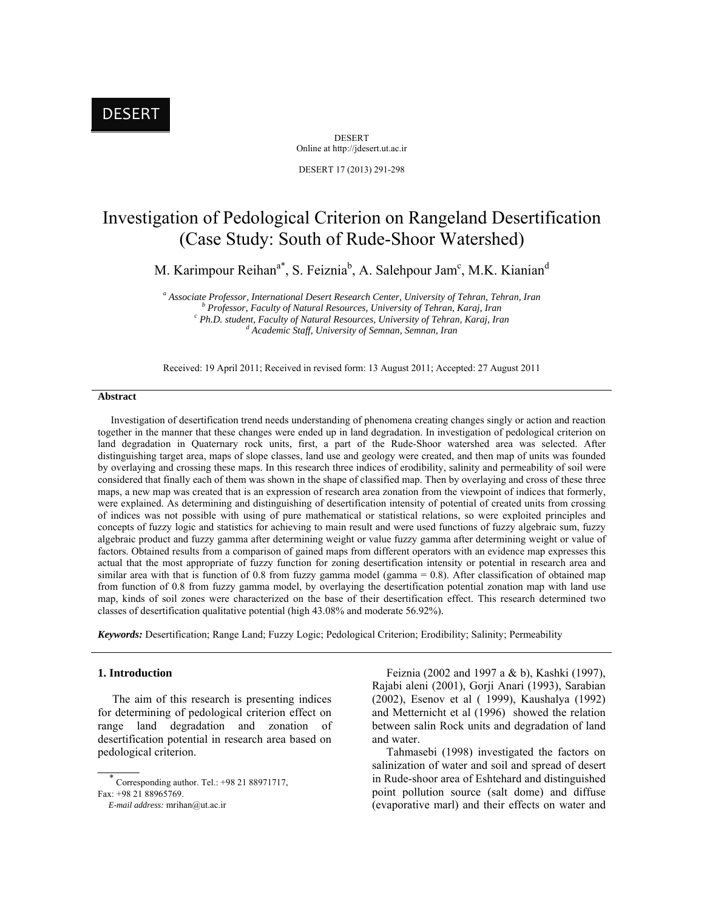# DESERT

DESERT Online at http://jdesert.ut.ac.ir DESERT 17 (2013) 291-298

Investigation of Pedological Criterion on Rangeland Desertification (Case Study: South of Rude-Shoor Watershed)

M. Karimpour Reihan<sup>a\*</sup>, S. Feiznia<sup>b</sup>, A. Salehpour Jam<sup>c</sup>, M.K. Kianian<sup>d</sup>

<sup>a</sup> Associate Professor, International Desert Research Center, University of Tehran, Tehran, Iran b<br>b Brofessor, Easylty of Natural Becourses, University of Tehran, Karaj, Iran  *Professor, Faculty of Natural Resources, University of Tehran, Karaj, Iran c* <sup>c</sup> Ph.D. student, Faculty of Natural Resources, University of Tehran, Karaj, Iran  *Academic Staff, University of Semnan, Semnan, Iran* 

Received: 19 April 2011; Received in revised form: 13 August 2011; Accepted: 27 August 2011

# **Abstract**

 Investigation of desertification trend needs understanding of phenomena creating changes singly or action and reaction together in the manner that these changes were ended up in land degradation. In investigation of pedological criterion on land degradation in Quaternary rock units, first, a part of the Rude-Shoor watershed area was selected. After distinguishing target area, maps of slope classes, land use and geology were created, and then map of units was founded by overlaying and crossing these maps. In this research three indices of erodibility, salinity and permeability of soil were considered that finally each of them was shown in the shape of classified map. Then by overlaying and cross of these three maps, a new map was created that is an expression of research area zonation from the viewpoint of indices that formerly, were explained. As determining and distinguishing of desertification intensity of potential of created units from crossing of indices was not possible with using of pure mathematical or statistical relations, so were exploited principles and concepts of fuzzy logic and statistics for achieving to main result and were used functions of fuzzy algebraic sum, fuzzy algebraic product and fuzzy gamma after determining weight or value fuzzy gamma after determining weight or value of factors. Obtained results from a comparison of gained maps from different operators with an evidence map expresses this actual that the most appropriate of fuzzy function for zoning desertification intensity or potential in research area and similar area with that is function of 0.8 from fuzzy gamma model (gamma  $= 0.8$ ). After classification of obtained map from function of 0.8 from fuzzy gamma model, by overlaying the desertification potential zonation map with land use map, kinds of soil zones were characterized on the base of their desertification effect. This research determined two classes of desertification qualitative potential (high 43.08% and moderate 56.92%).

*Keywords:* Desertification; Range Land; Fuzzy Logic; Pedological Criterion; Erodibility; Salinity; Permeability

# **1. Introduction**

 The aim of this research is presenting indices for determining of pedological criterion effect on range land degradation and zonation of desertification potential in research area based on pedological criterion.

 $\overline{\phantom{a}}$ Corresponding author. Tel.: +98 21 88971717,

 Feiznia (2002 and 1997 a & b), Kashki (1997), Rajabi aleni (2001), Gorji Anari (1993), Sarabian (2002), Esenov et al ( 1999), Kaushalya (1992) and Metternicht et al (1996) showed the relation between salin Rock units and degradation of land and water.

 Tahmasebi (1998) investigated the factors on salinization of water and soil and spread of desert in Rude-shoor area of Eshtehard and distinguished point pollution source (salt dome) and diffuse (evaporative marl) and their effects on water and

Fax: +98 21 88965769.

*E-mail address:* mrihan@ut.ac.ir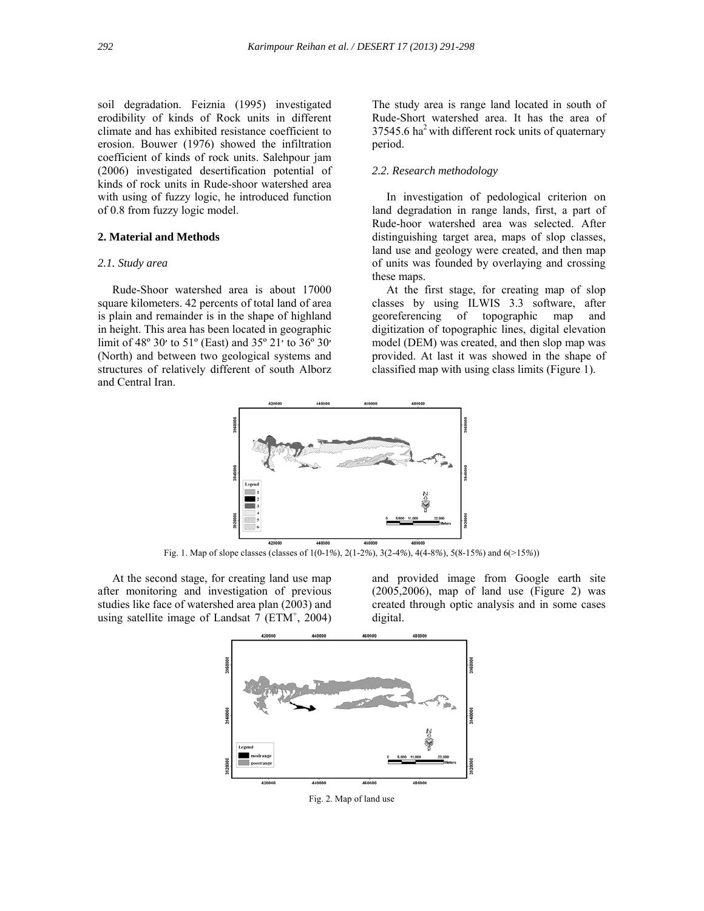soil degradation. Feiznia (1995) investigated erodibility of kinds of Rock units in different climate and has exhibited resistance coefficient to erosion. Bouwer (1976) showed the infiltration coefficient of kinds of rock units. Salehpour jam (2006) investigated desertification potential of kinds of rock units in Rude-shoor watershed area with using of fuzzy logic, he introduced function of 0.8 from fuzzy logic model.

# **2. Material and Methods**

# *2.1. Study area*

 Rude-Shoor watershed area is about 17000 square kilometers. 42 percents of total land of area is plain and remainder is in the shape of highland in height. This area has been located in geographic limit of 48º 30׳ to 51º (East) and 35º 21׳ to 36º 30׳ (North) and between two geological systems and structures of relatively different of south Alborz and Central Iran.

The study area is range land located in south of Rude-Short watershed area. It has the area of  $37545.6$  ha<sup>2</sup> with different rock units of quaternary period.

# *2.2. Research methodology*

 In investigation of pedological criterion on land degradation in range lands, first, a part of Rude-hoor watershed area was selected. After distinguishing target area, maps of slop classes, land use and geology were created, and then map of units was founded by overlaying and crossing these maps.

 At the first stage, for creating map of slop classes by using ILWIS 3.3 software, after georeferencing of topographic map and digitization of topographic lines, digital elevation model (DEM) was created, and then slop map was provided. At last it was showed in the shape of classified map with using class limits (Figure 1).



Fig. 1. Map of slope classes (classes of 1(0-1*%*), 2(1-2*%*), 3(2-4*%*), 4(4-8*%*), 5(8-15*%*) and 6(>15*%*))

 At the second stage, for creating land use map after monitoring and investigation of previous studies like face of watershed area plan (2003) and using satellite image of Landsat  $7$  (ETM<sup>+</sup>, 2004)

and provided image from Google earth site  $(2005, 2006)$ , map of land use (Figure 2) was created through optic analysis and in some cases digital.



Fig. 2. Map of land use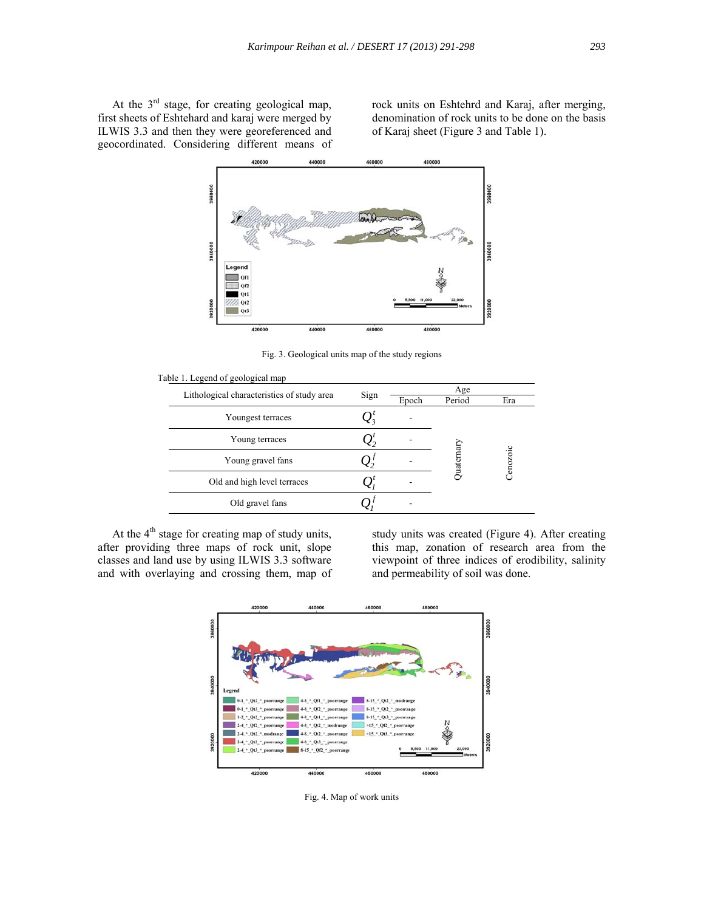At the  $3<sup>rd</sup>$  stage, for creating geological map, first sheets of Eshtehard and karaj were merged by ILWIS 3.3 and then they were georeferenced and geocordinated. Considering different means of

rock units on Eshtehrd and Karaj, after merging, denomination of rock units to be done on the basis of Karaj sheet (Figure 3 and Table 1).



Fig. 3. Geological units map of the study regions

| Sign |       |        |           |  |  |
|------|-------|--------|-----------|--|--|
|      |       | Age    |           |  |  |
|      | Epoch | Period | Era       |  |  |
|      |       |        |           |  |  |
| Σ,   |       |        |           |  |  |
|      |       |        | Cenozoic  |  |  |
|      |       |        |           |  |  |
|      |       |        |           |  |  |
|      |       |        | Juaternar |  |  |

At the  $4<sup>th</sup>$  stage for creating map of study units, after providing three maps of rock unit, slope classes and land use by using ILWIS 3.3 software and with overlaying and crossing them, map of

study units was created (Figure 4). After creating this map, zonation of research area from the viewpoint of three indices of erodibility, salinity and permeability of soil was done.



Fig. 4. Map of work units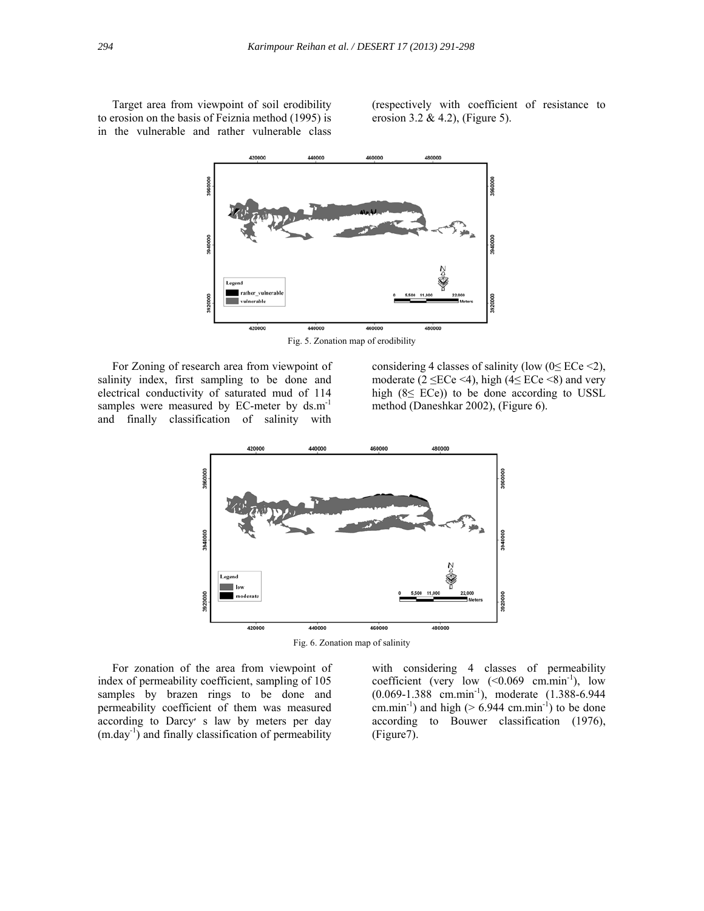Target area from viewpoint of soil erodibility to erosion on the basis of Feiznia method (1995) is in the vulnerable and rather vulnerable class (respectively with coefficient of resistance to erosion 3.2 & 4.2), (Figure 5).



Fig. 5. Zonation map of erodibility

 For Zoning of research area from viewpoint of salinity index, first sampling to be done and electrical conductivity of saturated mud of 114 samples were measured by EC-meter by ds.m<sup>-1</sup> and finally classification of salinity with

considering 4 classes of salinity (low  $(0 \leq E$ Ce <2), moderate ( $2 \leq$ ECe <4), high ( $4 \leq$ ECe <8) and very high  $(8 \leq ECe)$ ) to be done according to USSL method (Daneshkar 2002), (Figure 6).



 For zonation of the area from viewpoint of index of permeability coefficient, sampling of 105 samples by brazen rings to be done and permeability coefficient of them was measured according to Darcy׳ s law by meters per day  $(m.\text{day}^{-1})$  and finally classification of permeability

with considering 4 classes of permeability coefficient (very low  $(<0.069$  cm.min<sup>-1</sup>), low (0.069-1.388 cm.min-1), moderate (1.388-6.944 cm.min<sup>-1</sup>) and high ( $> 6.944$  cm.min<sup>-1</sup>) to be done according to Bouwer classification (1976), (Figure7).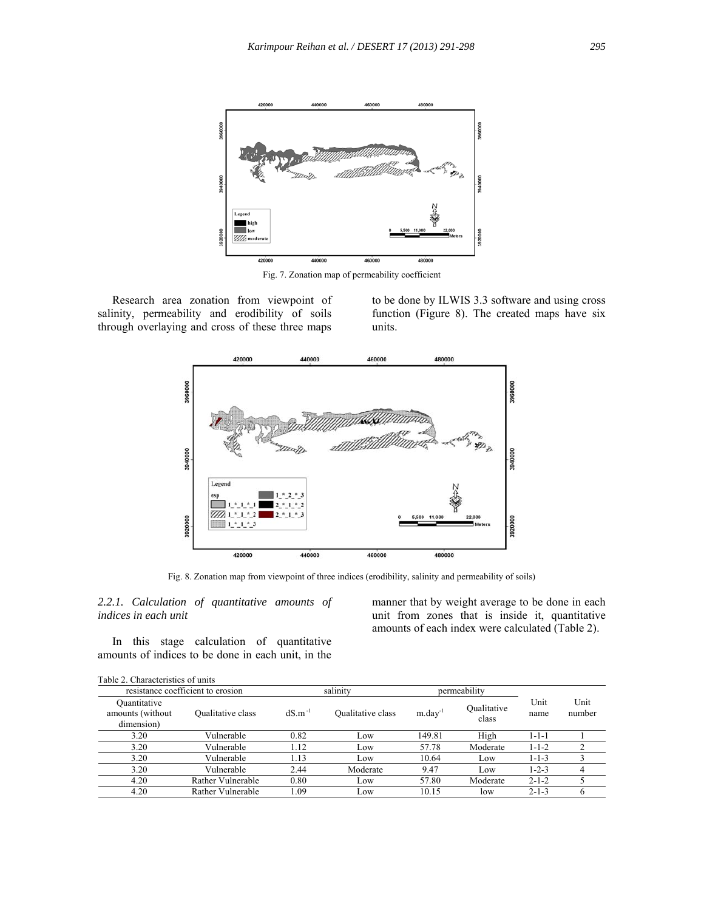

Fig. 7. Zonation map of permeability coefficient

 Research area zonation from viewpoint of salinity, permeability and erodibility of soils through overlaying and cross of these three maps

to be done by ILWIS 3.3 software and using cross function (Figure 8). The created maps have six units.



Fig. 8. Zonation map from viewpoint of three indices (erodibility, salinity and permeability of soils)

*2.2.1. Calculation of quantitative amounts of indices in each unit* 

 In this stage calculation of quantitative amounts of indices to be done in each unit, in the

manner that by weight average to be done in each unit from zones that is inside it, quantitative amounts of each index were calculated (Table 2).

|                                                | resistance coefficient to erosion |             | salinity          | permeability           |                      |              |                |
|------------------------------------------------|-----------------------------------|-------------|-------------------|------------------------|----------------------|--------------|----------------|
| Quantitative<br>amounts (without<br>dimension) | Qualitative class                 | $dS.m^{-1}$ | Qualitative class | $m$ .day <sup>-1</sup> | Oualitative<br>class | Unit<br>name | Unit<br>number |
| 3.20                                           | Vulnerable                        | 0.82        | Low               | 149.81                 | High                 | $1 - 1 - 1$  |                |
| 3.20                                           | Vulnerable                        | 1.12        | Low               | 57.78                  | Moderate             | $1 - 1 - 2$  |                |
| 3.20                                           | Vulnerable                        | 1.13        | Low               | 10.64                  | Low                  | $1 - 1 - 3$  |                |
| 3.20                                           | Vulnerable                        | 2.44        | Moderate          | 9.47                   | Low                  | $1 - 2 - 3$  | 4              |
| 4.20                                           | Rather Vulnerable                 | 0.80        | Low               | 57.80                  | Moderate             | $2 - 1 - 2$  |                |
| 4.20                                           | Rather Vulnerable                 | 1.09        | Low               | 10.15                  | low                  | $2 - 1 - 3$  |                |

Table 2. Characteristics of units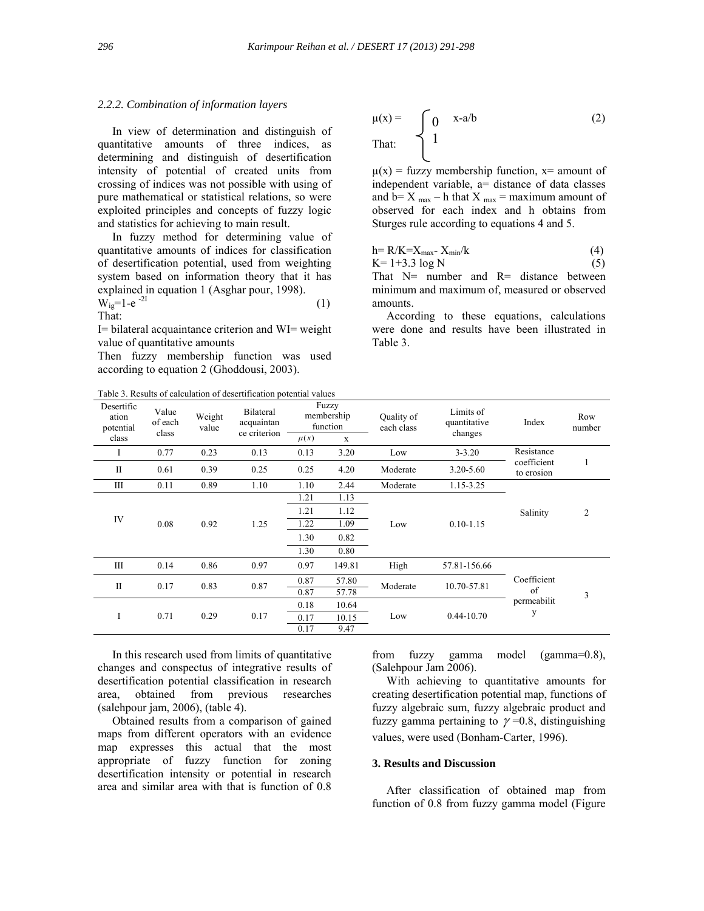### *2.2.2. Combination of information layers*

 In view of determination and distinguish of quantitative amounts of three indices, as determining and distinguish of desertification intensity of potential of created units from crossing of indices was not possible with using of pure mathematical or statistical relations, so were exploited principles and concepts of fuzzy logic and statistics for achieving to main result.

 In fuzzy method for determining value of quantitative amounts of indices for classification of desertification potential, used from weighting system based on information theory that it has explained in equation 1 (Asghar pour, 1998).

$$
W_{ig} = 1 - e^{-2I}
$$
 (1)  
That:

I= bilateral acquaintance criterion and WI= weight value of quantitative amounts

Then fuzzy membership function was used according to equation 2 (Ghoddousi, 2003).

Table 3. Results of calculation of desertification potential values

$$
\mu(x) = \n\begin{cases}\n0 & x-a/b \\
1\n\end{cases}
$$
\n(2)

 $\mu(x)$  = fuzzy membership function, x= amount of independent variable, a= distance of data classes and  $b = X_{max} - h$  that  $X_{max} = max$  maximum amount of observed for each index and h obtains from Sturges rule according to equations 4 and 5.

$$
h = R/K = X_{\text{max}} - X_{\text{min}}/k
$$
 (4)

 $K= 1+3.3 \log N$  (5)

That N= number and R= distance between minimum and maximum of, measured or observed amounts.

 According to these equations, calculations were done and results have been illustrated in Table 3.

|                                  |                           |                      | I abic 5. Results of calculation of descrimitation potential values |              |                                 |                          |                                      |                                                         |                |
|----------------------------------|---------------------------|----------------------|---------------------------------------------------------------------|--------------|---------------------------------|--------------------------|--------------------------------------|---------------------------------------------------------|----------------|
| Desertific<br>ation<br>potential | Value<br>of each<br>class | Weight<br>value      | Bilateral<br>acquaintan<br>ce criterion                             |              | Fuzzy<br>membership<br>function | Quality of<br>each class | Limits of<br>quantitative<br>changes | Index                                                   | Row<br>number  |
| class                            |                           |                      |                                                                     | $\mu(x)$     | $\mathbf X$                     |                          |                                      |                                                         |                |
|                                  | 0.77                      | 0.23                 | 0.13                                                                | 0.13         | 3.20                            | Low                      | $3 - 3.20$                           | Resistance                                              |                |
| $\mathbf{I}$                     | 0.61                      | 0.39                 | 0.25                                                                | 0.25         | 4.20                            | Moderate                 | 3.20-5.60                            | coefficient<br>to erosion                               |                |
| Ш                                | 0.11                      | 0.89                 | 1.10                                                                | 1.10         | 2.44                            | Moderate                 | 1.15-3.25                            |                                                         |                |
|                                  |                           | 0.08<br>0.92<br>1.25 |                                                                     | 1.21         | 1.13                            | Low                      | $0.10 - 1.15$                        | Salinity                                                |                |
|                                  |                           |                      |                                                                     | 1.21         | 1.12                            |                          |                                      |                                                         | $\overline{2}$ |
| IV                               |                           |                      |                                                                     | 1.22         | 1.09                            |                          |                                      |                                                         |                |
|                                  |                           |                      |                                                                     | 1.30<br>0.82 |                                 |                          |                                      |                                                         |                |
|                                  |                           |                      |                                                                     | 1.30         | 0.80                            |                          |                                      |                                                         |                |
| Ш                                | 0.14                      | 0.86                 | 0.97                                                                | 0.97         | 149.81                          | High                     | 57.81-156.66                         |                                                         |                |
| $\mathbf{I}$                     | 0.17                      | 0.83                 | 0.87                                                                | 0.87         | 57.80                           | Moderate                 | 10.70-57.81                          | Coefficient<br>of<br>permeabilit<br>у<br>$0.44 - 10.70$ | 3              |
|                                  |                           |                      |                                                                     | 0.87         | 57.78                           |                          |                                      |                                                         |                |
|                                  |                           |                      |                                                                     | 0.18         | 10.64                           |                          |                                      |                                                         |                |
| I                                | 0.71                      | 0.29                 | 0.17                                                                | 0.17         | 10.15                           | Low                      |                                      |                                                         |                |
|                                  |                           |                      |                                                                     | 0.17         | 9.47                            |                          |                                      |                                                         |                |

 In this research used from limits of quantitative changes and conspectus of integrative results of desertification potential classification in research area, obtained from previous researches (salehpour jam, 2006), (table 4).

 Obtained results from a comparison of gained maps from different operators with an evidence map expresses this actual that the most appropriate of fuzzy function for zoning desertification intensity or potential in research area and similar area with that is function of 0.8

from fuzzy gamma model (gamma=0.8), (Salehpour Jam 2006).

 With achieving to quantitative amounts for creating desertification potential map, functions of fuzzy algebraic sum, fuzzy algebraic product and fuzzy gamma pertaining to  $\gamma$  =0.8, distinguishing values, were used (Bonham-Carter, 1996).

# **3. Results and Discussion**

 After classification of obtained map from function of 0.8 from fuzzy gamma model (Figure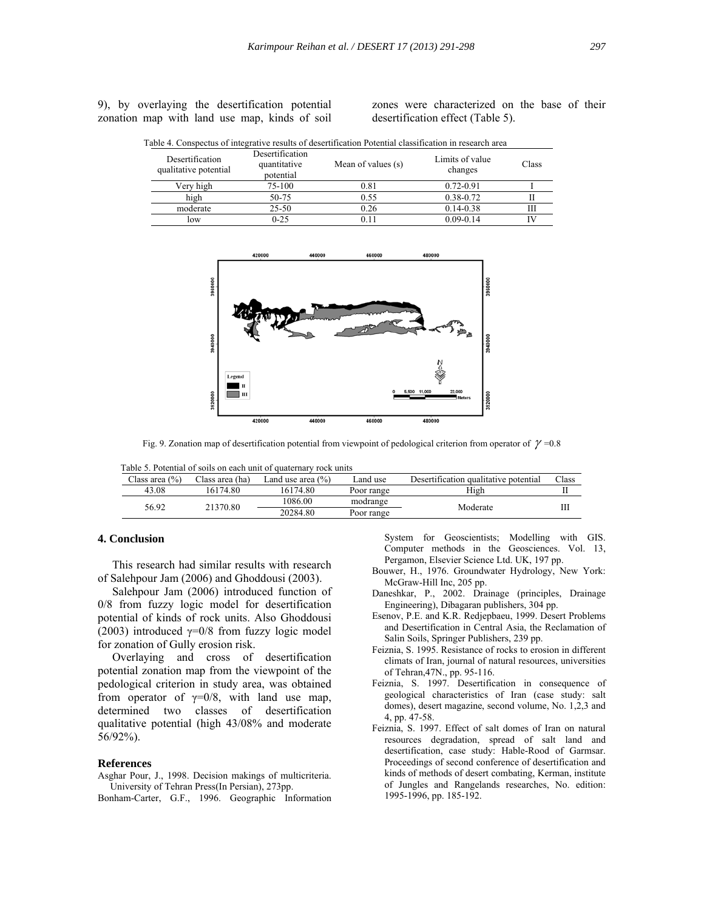9), by overlaying the desertification potential zonation map with land use map, kinds of soil

zones were characterized on the base of their desertification effect (Table 5).

| Desertification<br>qualitative potential | Desertification<br>quantitative<br>potential | Mean of values (s) | Limits of value<br>changes | Class |
|------------------------------------------|----------------------------------------------|--------------------|----------------------------|-------|
| Very high                                | 75-100                                       | 0.81               | $0.72 - 0.91$              |       |
| high                                     | 50-75                                        | 0.55               | $0.38 - 0.72$              |       |
| moderate                                 | 25-50                                        | 0.26               | $0.14 - 0.38$              | Ш     |
| low                                      | $0 - 25$                                     | 011                | $0.09 - 0.14$              | IV    |

Table 4. Conspectus of integrative results of desertification Potential classification in research area



Fig. 9. Zonation map of desertification potential from viewpoint of pedological criterion from operator of  $\gamma$  =0.8

Table 5. Potential of soils on each unit of quaternary rock units

| Class area $(\% )$                       | Class area (ha) | Land use area $(\% )$ | Land use   | Desertification qualitative potential | $\text{Class}$ |
|------------------------------------------|-----------------|-----------------------|------------|---------------------------------------|----------------|
| 43.08                                    | 16174.80        | 16174.80              | Poor range | High                                  |                |
| 1086.00<br>56.92<br>21370.80<br>20284.80 |                 | modrange              | Moderate   |                                       |                |
|                                          |                 |                       | Poor range |                                       | Ш              |

# **4. Conclusion**

 This research had similar results with research of Salehpour Jam (2006) and Ghoddousi (2003).

 Salehpour Jam (2006) introduced function of 0/8 from fuzzy logic model for desertification potential of kinds of rock units. Also Ghoddousi (2003) introduced  $\gamma=0/8$  from fuzzy logic model for zonation of Gully erosion risk.

 Overlaying and cross of desertification potential zonation map from the viewpoint of the pedological criterion in study area, was obtained from operator of  $\gamma=0/8$ , with land use map, determined two classes of desertification qualitative potential (high 43/08% and moderate 56/92%).

#### **References**

- Asghar Pour, J., 1998. Decision makings of multicriteria. University of Tehran Press(In Persian), 273pp.
- Bonham-Carter, G.F., 1996. Geographic Information

 System for Geoscientists; Modelling with GIS. Computer methods in the Geosciences. Vol. 13, Pergamon, Elsevier Science Ltd. UK, 197 pp.

- Bouwer, H., 1976. Groundwater Hydrology, New York: McGraw-Hill Inc, 205 pp.
- Daneshkar, P., 2002. Drainage (principles, Drainage Engineering), Dibagaran publishers, 304 pp.
- Esenov, P.E. and K.R. Redjepbaeu, 1999. Desert Problems and Desertification in Central Asia, the Reclamation of Salin Soils, Springer Publishers, 239 pp.
- Feiznia, S. 1995. Resistance of rocks to erosion in different climats of Iran, journal of natural resources, universities of Tehran,47N., pp. 95-116.
- Feiznia, S. 1997. Desertification in consequence of geological characteristics of Iran (case study: salt domes), desert magazine, second volume, No. 1,2,3 and 4, pp. 47-58.
- Feiznia, S. 1997. Effect of salt domes of Iran on natural resources degradation, spread of salt land and desertification, case study: Hable-Rood of Garmsar. Proceedings of second conference of desertification and kinds of methods of desert combating, Kerman, institute of Jungles and Rangelands researches, No. edition: 1995-1996, pp. 185-192.